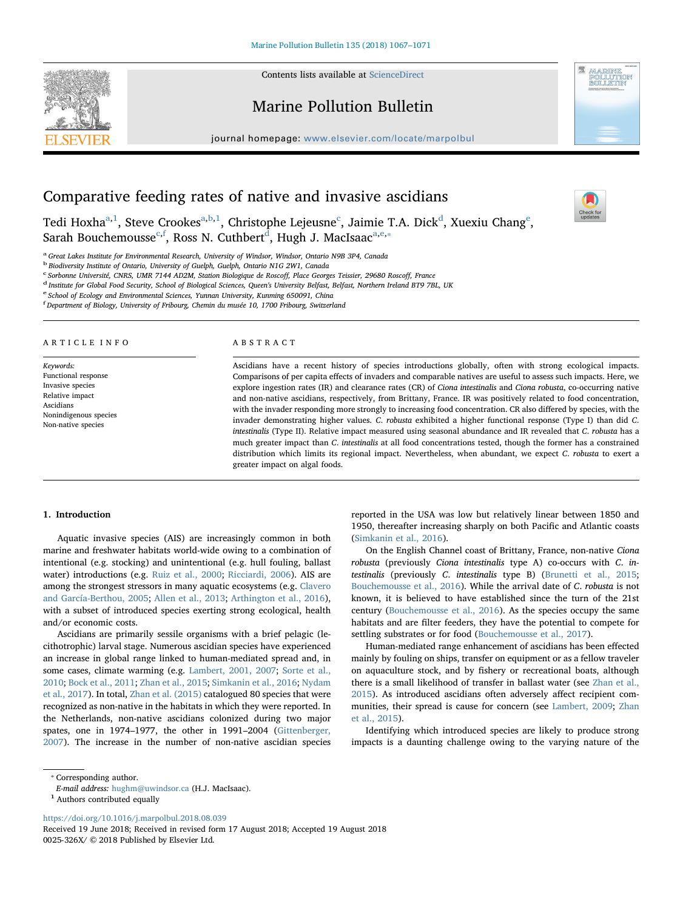

## Marine Pollution Bulletin

journal homepage: [www.elsevier.com/locate/marpolbul](https://www.elsevier.com/locate/marpolbul)



Check for<br>updates

# Comparative feeding rates of native and invasive ascidians

Tedi Hoxh[a](#page-0-0)<sup>a[,1](#page-0-1)</sup>, Steve Crookes<sup>a[,b,](#page-0-2)[1](#page-0-1)</sup>, Christophe Lejeusne<sup>[c](#page-0-3)</sup>, Jaimie T.A. Dick<sup>[d](#page-0-4)</sup>, Xu[e](#page-0-5)xiu Chang<sup>e</sup>, Sarah Bouchemousse<sup>[c,](#page-0-3)[f](#page-0-6)</sup>, Ross N. Cuthbert<sup>[d](#page-0-4)</sup>, Hugh J. M[a](#page-0-0)cIsaac<sup>a[,e](#page-0-5),\*</sup>

<span id="page-0-0"></span><sup>a</sup> Great Lakes Institute for Environmental Research, University of Windsor, Windsor, Ontario N9B 3P4, Canada

<span id="page-0-2"></span><sup>b</sup> Biodiversity Institute of Ontario, University of Guelph, Guelph, Ontario N1G 2W1, Canada

<span id="page-0-3"></span><sup>c</sup> Sorbonne Université, CNRS, UMR 7144 AD2M, Station Biologique de Roscoff, Place Georges Teissier, 29680 Roscoff, France

<span id="page-0-4"></span><sup>d</sup> Institute for Global Food Security, School of Biological Sciences, Queen's University Belfast, Belfast, Northern Ireland BT9 7BL, UK

<span id="page-0-5"></span><sup>e</sup> School of Ecology and Environmental Sciences, Yunnan University, Kunming 650091, China

<span id="page-0-6"></span><sup>f</sup> Department of Biology, University of Fribourg, Chemin du musée 10, 1700 Fribourg, Switzerland

ARTICLE INFO

Keywords: Functional response Invasive species Relative impact Ascidians Nonindigenous species Non-native species

## ABSTRACT

Ascidians have a recent history of species introductions globally, often with strong ecological impacts. Comparisons of per capita effects of invaders and comparable natives are useful to assess such impacts. Here, we explore ingestion rates (IR) and clearance rates (CR) of Ciona intestinalis and Ciona robusta, co-occurring native and non-native ascidians, respectively, from Brittany, France. IR was positively related to food concentration, with the invader responding more strongly to increasing food concentration. CR also differed by species, with the invader demonstrating higher values. C. robusta exhibited a higher functional response (Type I) than did C. intestinalis (Type II). Relative impact measured using seasonal abundance and IR revealed that C. robusta has a much greater impact than C. intestinalis at all food concentrations tested, though the former has a constrained distribution which limits its regional impact. Nevertheless, when abundant, we expect C. robusta to exert a greater impact on algal foods.

## 1. Introduction

Aquatic invasive species (AIS) are increasingly common in both marine and freshwater habitats world-wide owing to a combination of intentional (e.g. stocking) and unintentional (e.g. hull fouling, ballast water) introductions (e.g. [Ruiz et al., 2000;](#page-4-0) [Ricciardi, 2006\)](#page-4-1). AIS are among the strongest stressors in many aquatic ecosystems (e.g. [Clavero](#page-3-0) [and García-Berthou, 2005;](#page-3-0) [Allen et al., 2013;](#page-3-1) [Arthington et al., 2016](#page-3-2)), with a subset of introduced species exerting strong ecological, health and/or economic costs.

Ascidians are primarily sessile organisms with a brief pelagic (lecithotrophic) larval stage. Numerous ascidian species have experienced an increase in global range linked to human-mediated spread and, in some cases, climate warming (e.g. [Lambert, 2001, 2007](#page-4-2); [Sorte et al.,](#page-4-3) [2010;](#page-4-3) [Bock et al., 2011;](#page-3-3) [Zhan et al., 2015;](#page-4-4) [Simkanin et al., 2016](#page-4-5); [Nydam](#page-4-6) [et al., 2017\)](#page-4-6). In total, [Zhan et al. \(2015\)](#page-4-4) catalogued 80 species that were recognized as non-native in the habitats in which they were reported. In the Netherlands, non-native ascidians colonized during two major spates, one in 1974–1977, the other in 1991–2004 ([Gittenberger,](#page-4-7) [2007\)](#page-4-7). The increase in the number of non-native ascidian species reported in the USA was low but relatively linear between 1850 and 1950, thereafter increasing sharply on both Pacific and Atlantic coasts ([Simkanin et al., 2016](#page-4-5)).

On the English Channel coast of Brittany, France, non-native Ciona robusta (previously Ciona intestinalis type A) co-occurs with C. intestinalis (previously C. intestinalis type B) [\(Brunetti et al., 2015](#page-3-4); [Bouchemousse et al., 2016\)](#page-3-5). While the arrival date of C. robusta is not known, it is believed to have established since the turn of the 21st century [\(Bouchemousse et al., 2016\)](#page-3-5). As the species occupy the same habitats and are filter feeders, they have the potential to compete for settling substrates or for food [\(Bouchemousse et al., 2017](#page-3-6)).

Human-mediated range enhancement of ascidians has been effected mainly by fouling on ships, transfer on equipment or as a fellow traveler on aquaculture stock, and by fishery or recreational boats, although there is a small likelihood of transfer in ballast water (see [Zhan et al.,](#page-4-4) [2015\)](#page-4-4). As introduced ascidians often adversely affect recipient communities, their spread is cause for concern (see [Lambert,](#page-4-8) 2009; [Zhan](#page-4-4) [et al., 2015](#page-4-4)).

Identifying which introduced species are likely to produce strong impacts is a daunting challenge owing to the varying nature of the

<span id="page-0-7"></span>⁎ Corresponding author.

<span id="page-0-1"></span> $^{\rm 1}$  Authors contributed equally

<https://doi.org/10.1016/j.marpolbul.2018.08.039>

E-mail address: [hughm@uwindsor.ca](mailto:hughm@uwindsor.ca) (H.J. MacIsaac).

Received 19 June 2018; Received in revised form 17 August 2018; Accepted 19 August 2018 0025-326X/ © 2018 Published by Elsevier Ltd.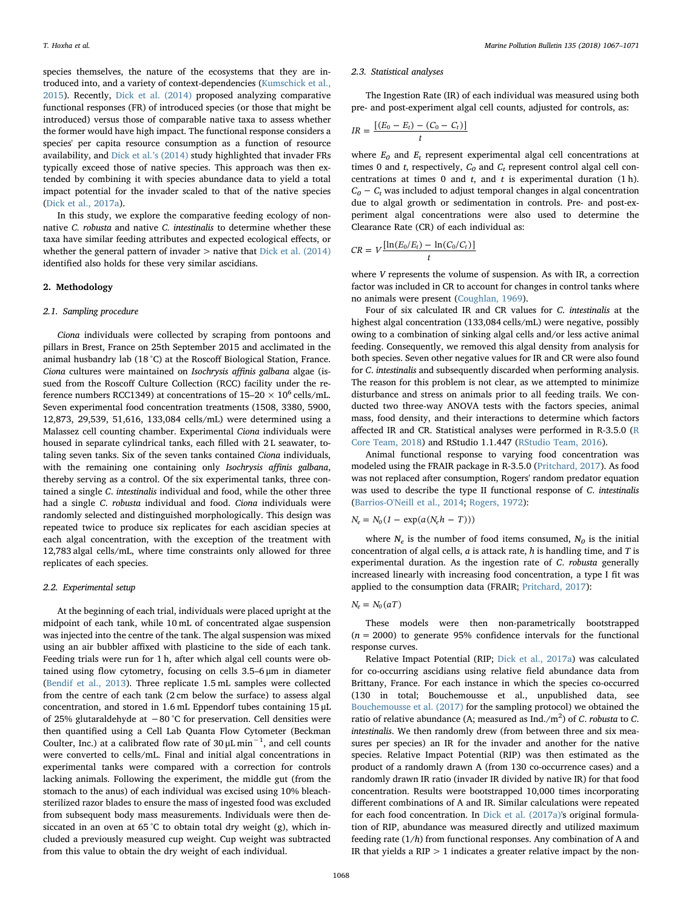species themselves, the nature of the ecosystems that they are introduced into, and a variety of context-dependencies [\(Kumschick et al.,](#page-4-9) [2015\)](#page-4-9). Recently, [Dick et al. \(2014\)](#page-3-7) proposed analyzing comparative functional responses (FR) of introduced species (or those that might be introduced) versus those of comparable native taxa to assess whether the former would have high impact. The functional response considers a species' per capita resource consumption as a function of resource availability, and [Dick et al.](#page-3-7)'s (2014) study highlighted that invader FRs typically exceed those of native species. This approach was then extended by combining it with species abundance data to yield a total impact potential for the invader scaled to that of the native species ([Dick et al., 2017a](#page-3-8)).

In this study, we explore the comparative feeding ecology of nonnative C. robusta and native C. intestinalis to determine whether these taxa have similar feeding attributes and expected ecological effects, or whether the general pattern of invader > native that [Dick et al. \(2014\)](#page-3-7) identified also holds for these very similar ascidians.

#### 2. Methodology

#### 2.1. Sampling procedure

Ciona individuals were collected by scraping from pontoons and pillars in Brest, France on 25th September 2015 and acclimated in the animal husbandry lab (18 °C) at the Roscoff Biological Station, France. Ciona cultures were maintained on Isochrysis affinis galbana algae (issued from the Roscoff Culture Collection (RCC) facility under the reference numbers RCC1349) at concentrations of  $15-20 \times 10^6$  cells/mL. Seven experimental food concentration treatments (1508, 3380, 5900, 12,873, 29,539, 51,616, 133,084 cells/mL) were determined using a Malassez cell counting chamber. Experimental Ciona individuals were housed in separate cylindrical tanks, each filled with 2 L seawater, totaling seven tanks. Six of the seven tanks contained Ciona individuals, with the remaining one containing only Isochrysis affinis galbana, thereby serving as a control. Of the six experimental tanks, three contained a single C. intestinalis individual and food, while the other three had a single C. robusta individual and food. Ciona individuals were randomly selected and distinguished morphologically. This design was repeated twice to produce six replicates for each ascidian species at each algal concentration, with the exception of the treatment with 12,783 algal cells/mL, where time constraints only allowed for three replicates of each species.

#### 2.2. Experimental setup

At the beginning of each trial, individuals were placed upright at the midpoint of each tank, while 10 mL of concentrated algae suspension was injected into the centre of the tank. The algal suspension was mixed using an air bubbler affixed with plasticine to the side of each tank. Feeding trials were run for 1 h, after which algal cell counts were obtained using flow cytometry, focusing on cells 3.5–6 μm in diameter ([Bendif et al., 2013\)](#page-3-9). Three replicate 1.5 mL samples were collected from the centre of each tank (2 cm below the surface) to assess algal concentration, and stored in 1.6 mL Eppendorf tubes containing 15 μL of 25% glutaraldehyde at −80 °C for preservation. Cell densities were then quantified using a Cell Lab Quanta Flow Cytometer (Beckman Coulter, Inc.) at a calibrated flow rate of  $30 \mu L \text{min}^{-1}$ , and cell counts were converted to cells/mL. Final and initial algal concentrations in experimental tanks were compared with a correction for controls lacking animals. Following the experiment, the middle gut (from the stomach to the anus) of each individual was excised using 10% bleachsterilized razor blades to ensure the mass of ingested food was excluded from subsequent body mass measurements. Individuals were then desiccated in an oven at 65 °C to obtain total dry weight (g), which included a previously measured cup weight. Cup weight was subtracted from this value to obtain the dry weight of each individual.

#### 2.3. Statistical analyses

The Ingestion Rate (IR) of each individual was measured using both pre- and post-experiment algal cell counts, adjusted for controls, as:

$$
IR = \frac{[(E_0 - E_t) - (C_0 - C_t)]}{t}
$$

where  $E_0$  and  $E_t$  represent experimental algal cell concentrations at times 0 and t, respectively,  $C_0$  and  $C_t$  represent control algal cell concentrations at times 0 and  $t$ , and  $t$  is experimental duration (1 h).  $C_0 - C_t$  was included to adjust temporal changes in algal concentration due to algal growth or sedimentation in controls. Pre- and post-experiment algal concentrations were also used to determine the Clearance Rate (CR) of each individual as:

$$
CR = V \frac{\left[\ln(E_0/E_t) - \ln(C_0/C_t)\right]}{t}
$$

where V represents the volume of suspension. As with IR, a correction factor was included in CR to account for changes in control tanks where no animals were present [\(Coughlan, 1969\)](#page-3-10).

Four of six calculated IR and CR values for C. intestinalis at the highest algal concentration (133,084 cells/mL) were negative, possibly owing to a combination of sinking algal cells and/or less active animal feeding. Consequently, we removed this algal density from analysis for both species. Seven other negative values for IR and CR were also found for C. intestinalis and subsequently discarded when performing analysis. The reason for this problem is not clear, as we attempted to minimize disturbance and stress on animals prior to all feeding trails. We conducted two three-way ANOVA tests with the factors species, animal mass, food density, and their interactions to determine which factors affected IR and CR. Statistical analyses were performed in R-3.5.0 [\(R](#page-4-10) [Core Team, 2018\)](#page-4-10) and RStudio 1.1.447 [\(RStudio Team, 2016](#page-4-11)).

Animal functional response to varying food concentration was modeled using the FRAIR package in R-3.5.0 ([Pritchard, 2017\)](#page-4-12). As food was not replaced after consumption, Rogers' random predator equation was used to describe the type II functional response of C. intestinalis ([Barrios-O'Neill et al., 2014;](#page-3-11) [Rogers, 1972](#page-4-13)):

## $N_e = N_0 (1 - \exp(a(N_e h - T)))$

where  $N_e$  is the number of food items consumed,  $N_0$  is the initial concentration of algal cells,  $a$  is attack rate,  $h$  is handling time, and  $T$  is experimental duration. As the ingestion rate of C. robusta generally increased linearly with increasing food concentration, a type I fit was applied to the consumption data (FRAIR; [Pritchard, 2017](#page-4-12)):

## $N_e = N_0 (aT)$

These models were then non-parametrically bootstrapped  $(n = 2000)$  to generate 95% confidence intervals for the functional response curves.

Relative Impact Potential (RIP; [Dick et al., 2017a\)](#page-3-8) was calculated for co-occurring ascidians using relative field abundance data from Brittany, France. For each instance in which the species co-occurred (130 in total; Bouchemousse et al., unpublished data, see [Bouchemousse et al. \(2017\)](#page-3-6) for the sampling protocol) we obtained the ratio of relative abundance (A; measured as Ind./ $m<sup>2</sup>$ ) of *C. robusta* to *C.* intestinalis. We then randomly drew (from between three and six measures per species) an IR for the invader and another for the native species. Relative Impact Potential (RIP) was then estimated as the product of a randomly drawn A (from 130 co-occurrence cases) and a randomly drawn IR ratio (invader IR divided by native IR) for that food concentration. Results were bootstrapped 10,000 times incorporating different combinations of A and IR. Similar calculations were repeated for each food concentration. In [Dick et al. \(2017a\)](#page-3-8)'s original formulation of RIP, abundance was measured directly and utilized maximum feeding rate (1/h) from functional responses. Any combination of A and IR that yields a  $RIP > 1$  indicates a greater relative impact by the non-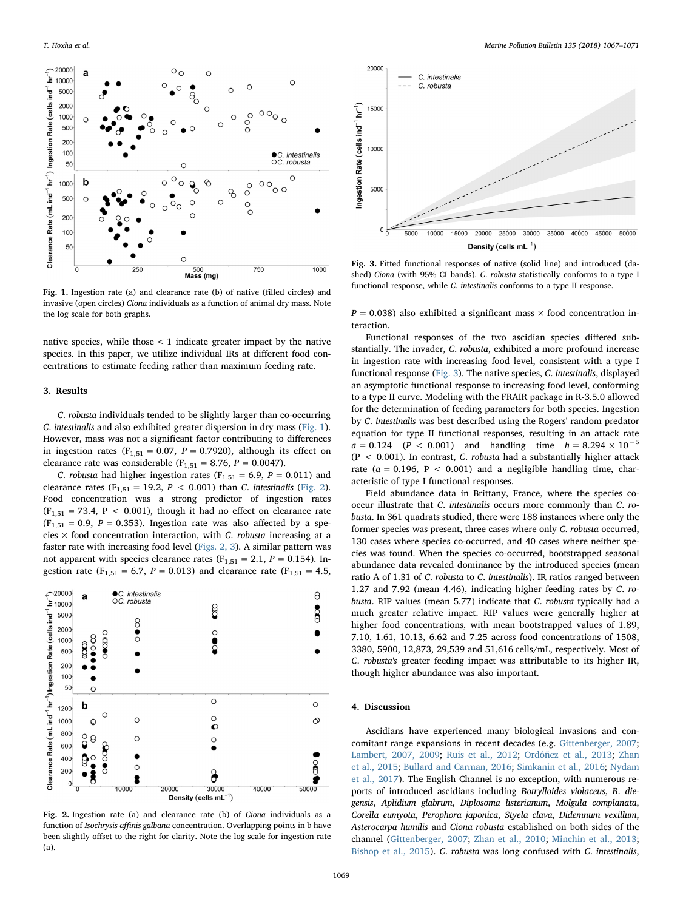<span id="page-2-0"></span>

Fig. 1. Ingestion rate (a) and clearance rate (b) of native (filled circles) and invasive (open circles) Ciona individuals as a function of animal dry mass. Note the log scale for both graphs.

native species, while those < 1 indicate greater impact by the native species. In this paper, we utilize individual IRs at different food concentrations to estimate feeding rather than maximum feeding rate.

#### 3. Results

C. robusta individuals tended to be slightly larger than co-occurring C. intestinalis and also exhibited greater dispersion in dry mass [\(Fig. 1](#page-2-0)). However, mass was not a significant factor contributing to differences in ingestion rates ( $F_{1,51} = 0.07$ ,  $P = 0.7920$ ), although its effect on clearance rate was considerable ( $F_{1,51} = 8.76$ ,  $P = 0.0047$ ).

*C. robusta* had higher ingestion rates ( $F_{1,51} = 6.9$ ,  $P = 0.011$ ) and clearance rates ( $F_{1,51} = 19.2$ ,  $P < 0.001$ ) than *C*. *intestinalis* [\(Fig. 2](#page-2-1)). Food concentration was a strong predictor of ingestion rates  $(F<sub>1.51</sub> = 73.4, P < 0.001)$ , though it had no effect on clearance rate  $(F<sub>1,51</sub> = 0.9, P = 0.353)$ . Ingestion rate was also affected by a species  $\times$  food concentration interaction, with *C. robusta* increasing at a faster rate with increasing food level ([Figs. 2, 3](#page-2-1)). A similar pattern was not apparent with species clearance rates ( $F_{1,51} = 2.1$ ,  $P = 0.154$ ). Ingestion rate ( $F_{1,51} = 6.7$ ,  $P = 0.013$ ) and clearance rate ( $F_{1,51} = 4.5$ ,

<span id="page-2-1"></span>

Fig. 2. Ingestion rate (a) and clearance rate (b) of Ciona individuals as a function of Isochrysis affinis galbana concentration. Overlapping points in b have been slightly offset to the right for clarity. Note the log scale for ingestion rate (a).

<span id="page-2-2"></span>

Fig. 3. Fitted functional responses of native (solid line) and introduced (dashed) Ciona (with 95% CI bands). C. robusta statistically conforms to a type I functional response, while C. intestinalis conforms to a type II response.

 $P = 0.038$ ) also exhibited a significant mass  $\times$  food concentration interaction.

Functional responses of the two ascidian species differed substantially. The invader, C. robusta, exhibited a more profound increase in ingestion rate with increasing food level, consistent with a type I functional response [\(Fig. 3\)](#page-2-2). The native species, C. intestinalis, displayed an asymptotic functional response to increasing food level, conforming to a type II curve. Modeling with the FRAIR package in R-3.5.0 allowed for the determination of feeding parameters for both species. Ingestion by C. intestinalis was best described using the Rogers' random predator equation for type II functional responses, resulting in an attack rate  $a = 0.124$  (P < 0.001) and handling time  $h = 8.294 \times 10^{-5}$  $(P < 0.001)$ . In contrast, *C. robusta* had a substantially higher attack rate ( $a = 0.196$ ,  $P < 0.001$ ) and a negligible handling time, characteristic of type I functional responses.

Field abundance data in Brittany, France, where the species cooccur illustrate that C. intestinalis occurs more commonly than C. robusta. In 361 quadrats studied, there were 188 instances where only the former species was present, three cases where only C. robusta occurred, 130 cases where species co-occurred, and 40 cases where neither species was found. When the species co-occurred, bootstrapped seasonal abundance data revealed dominance by the introduced species (mean ratio A of 1.31 of C. robusta to C. intestinalis). IR ratios ranged between 1.27 and 7.92 (mean 4.46), indicating higher feeding rates by C. robusta. RIP values (mean 5.77) indicate that C. robusta typically had a much greater relative impact. RIP values were generally higher at higher food concentrations, with mean bootstrapped values of 1.89, 7.10, 1.61, 10.13, 6.62 and 7.25 across food concentrations of 1508, 3380, 5900, 12,873, 29,539 and 51,616 cells/mL, respectively. Most of C. robusta's greater feeding impact was attributable to its higher IR, though higher abundance was also important.

## 4. Discussion

Ascidians have experienced many biological invasions and concomitant range expansions in recent decades (e.g. [Gittenberger, 2007](#page-4-7); [Lambert, 2007, 2009;](#page-4-14) [Ruis et al., 2012;](#page-4-15) [Ordóñez et al., 2013;](#page-4-16) [Zhan](#page-4-4) [et al., 2015](#page-4-4); [Bullard and Carman, 2016](#page-3-12); [Simkanin et al., 2016;](#page-4-5) [Nydam](#page-4-6) [et al., 2017\)](#page-4-6). The English Channel is no exception, with numerous reports of introduced ascidians including Botrylloides violaceus, B. diegensis, Aplidium glabrum, Diplosoma listerianum, Molgula complanata, Corella eumyota, Perophora japonica, Styela clava, Didemnum vexillum, Asterocarpa humilis and Ciona robusta established on both sides of the channel [\(Gittenberger, 2007](#page-4-7); [Zhan et al., 2010](#page-4-17); [Minchin et al., 2013](#page-4-18); [Bishop et al., 2015](#page-3-13)). C. robusta was long confused with C. intestinalis,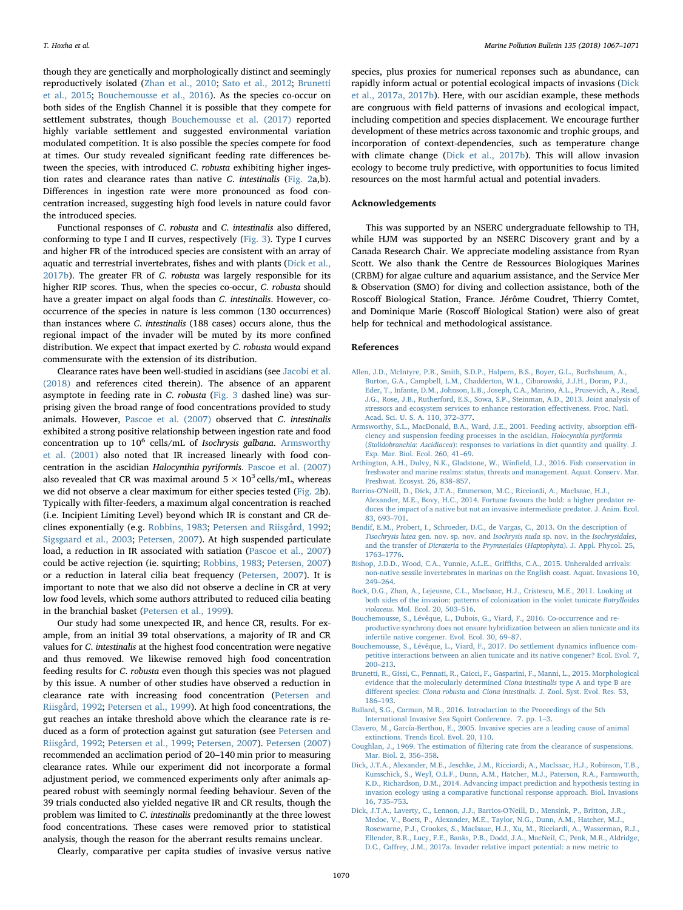though they are genetically and morphologically distinct and seemingly reproductively isolated ([Zhan et al., 2010;](#page-4-17) [Sato et al., 2012](#page-4-19); [Brunetti](#page-3-4) [et al., 2015;](#page-3-4) [Bouchemousse et al., 2016](#page-3-5)). As the species co-occur on both sides of the English Channel it is possible that they compete for settlement substrates, though [Bouchemousse et al. \(2017\)](#page-3-6) reported highly variable settlement and suggested environmental variation modulated competition. It is also possible the species compete for food at times. Our study revealed significant feeding rate differences between the species, with introduced C. robusta exhibiting higher ingestion rates and clearance rates than native C. intestinalis [\(Fig. 2a](#page-2-1),b). Differences in ingestion rate were more pronounced as food concentration increased, suggesting high food levels in nature could favor the introduced species.

Functional responses of C. robusta and C. intestinalis also differed, conforming to type I and II curves, respectively ([Fig. 3\)](#page-2-2). Type I curves and higher FR of the introduced species are consistent with an array of aquatic and terrestrial invertebrates, fishes and with plants ([Dick et al.,](#page-4-20) [2017b\)](#page-4-20). The greater FR of C. robusta was largely responsible for its higher RIP scores. Thus, when the species co-occur, C. robusta should have a greater impact on algal foods than C. intestinalis. However, cooccurrence of the species in nature is less common (130 occurrences) than instances where C. intestinalis (188 cases) occurs alone, thus the regional impact of the invader will be muted by its more confined distribution. We expect that impact exerted by C. robusta would expand commensurate with the extension of its distribution.

Clearance rates have been well-studied in ascidians (see [Jacobi et al.](#page-4-21) [\(2018\)](#page-4-21) and references cited therein). The absence of an apparent asymptote in feeding rate in C. robusta [\(Fig. 3](#page-2-2) dashed line) was surprising given the broad range of food concentrations provided to study animals. However, Pascoe [et al. \(2007\)](#page-4-22) observed that C. intestinalis exhibited a strong positive relationship between ingestion rate and food concentration up to  $10^6$  cells/mL of *Isochrysis galbana*. [Armsworthy](#page-3-14) [et al. \(2001\)](#page-3-14) also noted that IR increased linearly with food concentration in the ascidian Halocynthia pyriformis. [Pascoe et al. \(2007\)](#page-4-22) also revealed that CR was maximal around  $5 \times 10^3$  cells/mL, whereas we did not observe a clear maximum for either species tested [\(Fig. 2](#page-2-1)b). Typically with filter-feeders, a maximum algal concentration is reached (i.e. Incipient Limiting Level) beyond which IR is constant and CR declines exponentially (e.g. [Robbins, 1983;](#page-4-23) [Petersen and Riisgård, 1992](#page-4-24); [Sigsgaard et al., 2003](#page-4-25); [Petersen, 2007](#page-4-26)). At high suspended particulate load, a reduction in IR associated with satiation [\(Pascoe et al., 2007\)](#page-4-22) could be active rejection (ie. squirting; [Robbins, 1983](#page-4-23); [Petersen, 2007\)](#page-4-26) or a reduction in lateral cilia beat frequency ([Petersen, 2007\)](#page-4-26). It is important to note that we also did not observe a decline in CR at very low food levels, which some authors attributed to reduced cilia beating in the branchial basket [\(Petersen et al., 1999](#page-4-27)).

Our study had some unexpected IR, and hence CR, results. For example, from an initial 39 total observations, a majority of IR and CR values for C. intestinalis at the highest food concentration were negative and thus removed. We likewise removed high food concentration feeding results for C. robusta even though this species was not plagued by this issue. A number of other studies have observed a reduction in clearance rate with increasing food concentration ([Petersen and](#page-4-24) [Riisgård, 1992](#page-4-24); [Petersen et al., 1999\)](#page-4-27). At high food concentrations, the gut reaches an intake threshold above which the clearance rate is reduced as a form of protection against gut saturation (see [Petersen and](#page-4-24) [Riisgård, 1992](#page-4-24); [Petersen et al., 1999](#page-4-27); [Petersen, 2007\)](#page-4-26). [Petersen \(2007\)](#page-4-26) recommended an acclimation period of 20–140 min prior to measuring clearance rates. While our experiment did not incorporate a formal adjustment period, we commenced experiments only after animals appeared robust with seemingly normal feeding behaviour. Seven of the 39 trials conducted also yielded negative IR and CR results, though the problem was limited to C. intestinalis predominantly at the three lowest food concentrations. These cases were removed prior to statistical analysis, though the reason for the aberrant results remains unclear.

species, plus proxies for numerical reponses such as abundance, can rapidly inform actual or potential ecological impacts of invasions ([Dick](#page-3-8) [et al., 2017a, 2017b](#page-3-8)). Here, with our ascidian example, these methods are congruous with field patterns of invasions and ecological impact, including competition and species displacement. We encourage further development of these metrics across taxonomic and trophic groups, and incorporation of context-dependencies, such as temperature change with climate change [\(Dick et al., 2017b\)](#page-4-20). This will allow invasion ecology to become truly predictive, with opportunities to focus limited resources on the most harmful actual and potential invaders.

#### Acknowledgements

This was supported by an NSERC undergraduate fellowship to TH, while HJM was supported by an NSERC Discovery grant and by a Canada Research Chair. We appreciate modeling assistance from Ryan Scott. We also thank the Centre de Ressources Biologiques Marines (CRBM) for algae culture and aquarium assistance, and the Service Mer & Observation (SMO) for diving and collection assistance, both of the Roscoff Biological Station, France. Jérôme Coudret, Thierry Comtet, and Dominique Marie (Roscoff Biological Station) were also of great help for technical and methodological assistance.

#### References

- <span id="page-3-1"></span>[Allen, J.D., McIntyre, P.B., Smith, S.D.P., Halpern, B.S., Boyer, G.L., Buchsbaum, A.,](http://refhub.elsevier.com/S0025-326X(18)30603-9/rf0005) Burton, G.A., Campbell, L.M., Chadderton, W.L., Ciborowski, J.J.H., Doran, P.J. [Eder, T., Infante, D.M., Johnson, L.B., Joseph, C.A., Marino, A.L., Prusevich, A., Read,](http://refhub.elsevier.com/S0025-326X(18)30603-9/rf0005) [J.G., Rose, J.B., Rutherford, E.S., Sowa, S.P., Steinman, A.D., 2013. Joint analysis of](http://refhub.elsevier.com/S0025-326X(18)30603-9/rf0005) [stressors and ecosystem services to enhance restoration e](http://refhub.elsevier.com/S0025-326X(18)30603-9/rf0005)ffectiveness. Proc. Natl. [Acad. Sci. U. S. A. 110, 372](http://refhub.elsevier.com/S0025-326X(18)30603-9/rf0005)–377.
- <span id="page-3-14"></span>[Armsworthy, S.L., MacDonald, B.A., Ward, J.E., 2001. Feeding activity, absorption e](http://refhub.elsevier.com/S0025-326X(18)30603-9/rf0010)ffi[ciency and suspension feeding processes in the ascidian,](http://refhub.elsevier.com/S0025-326X(18)30603-9/rf0010) Holocynthia pyriformis (Stolidobranchia: Ascidiacea[\): responses to variations in diet quantity and quality. J.](http://refhub.elsevier.com/S0025-326X(18)30603-9/rf0010) [Exp. Mar. Biol. Ecol. 260, 41](http://refhub.elsevier.com/S0025-326X(18)30603-9/rf0010)–69.
- <span id="page-3-2"></span>[Arthington, A.H., Dulvy, N.K., Gladstone, W., Win](http://refhub.elsevier.com/S0025-326X(18)30603-9/rf0015)field, I.J., 2016. Fish conservation in [freshwater and marine realms: status, threats and management. Aquat. Conserv. Mar.](http://refhub.elsevier.com/S0025-326X(18)30603-9/rf0015) [Freshwat. Ecosyst. 26, 838](http://refhub.elsevier.com/S0025-326X(18)30603-9/rf0015)–857.
- <span id="page-3-11"></span>[Barrios-O'Neill, D., Dick, J.T.A., Emmerson, M.C., Ricciardi, A., MacIsaac, H.J.,](http://refhub.elsevier.com/S0025-326X(18)30603-9/rf0020) [Alexander, M.E., Bovy, H.C., 2014. Fortune favours the bold: a higher predator re](http://refhub.elsevier.com/S0025-326X(18)30603-9/rf0020)[duces the impact of a native but not an invasive intermediate predator. J. Anim. Ecol.](http://refhub.elsevier.com/S0025-326X(18)30603-9/rf0020) [83, 693](http://refhub.elsevier.com/S0025-326X(18)30603-9/rf0020)–701.
- <span id="page-3-9"></span>[Bendif, E.M., Probert, I., Schroeder, D.C., de Vargas, C., 2013. On the description of](http://refhub.elsevier.com/S0025-326X(18)30603-9/rf0025) Tisochrysis lutea [gen. nov. sp. nov. and](http://refhub.elsevier.com/S0025-326X(18)30603-9/rf0025) Isochrysis nuda sp. nov. in the Isochrysidales, and the transfer of Dicrateria to the Prymnesiales (Haptophyta[\). J. Appl. Phycol. 25,](http://refhub.elsevier.com/S0025-326X(18)30603-9/rf0025) 1763–[1776](http://refhub.elsevier.com/S0025-326X(18)30603-9/rf0025).
- <span id="page-3-13"></span>[Bishop, J.D.D., Wood, C.A., Yunnie, A.L.E., Gri](http://refhub.elsevier.com/S0025-326X(18)30603-9/rf0030)ffiths, C.A., 2015. Unheralded arrivals: [non-native sessile invertebrates in marinas on the English coast. Aquat. Invasions 10,](http://refhub.elsevier.com/S0025-326X(18)30603-9/rf0030) 249–[264](http://refhub.elsevier.com/S0025-326X(18)30603-9/rf0030).
- <span id="page-3-3"></span>[Bock, D.G., Zhan, A., Lejeusne, C.L., MacIsaac, H.J., Cristescu, M.E., 2011. Looking at](http://refhub.elsevier.com/S0025-326X(18)30603-9/rf0035) [both sides of the invasion: patterns of colonization in the violet tunicate](http://refhub.elsevier.com/S0025-326X(18)30603-9/rf0035) Botrylloides violaceus[. Mol. Ecol. 20, 503](http://refhub.elsevier.com/S0025-326X(18)30603-9/rf0035)–516.
- <span id="page-3-5"></span>[Bouchemousse, S., Lévêque, L., Dubois, G., Viard, F., 2016. Co-occurrence and re](http://refhub.elsevier.com/S0025-326X(18)30603-9/rf0045)[productive synchrony does not ensure hybridization between an alien tunicate and its](http://refhub.elsevier.com/S0025-326X(18)30603-9/rf0045) [infertile native congener. Evol. Ecol. 30, 69](http://refhub.elsevier.com/S0025-326X(18)30603-9/rf0045)–87.
- <span id="page-3-6"></span>[Bouchemousse, S., Lévêque, L., Viard, F., 2017. Do settlement dynamics in](http://refhub.elsevier.com/S0025-326X(18)30603-9/rf0055)fluence com[petitive interactions between an alien tunicate and its native congener? Ecol. Evol. 7,](http://refhub.elsevier.com/S0025-326X(18)30603-9/rf0055) 200–[213](http://refhub.elsevier.com/S0025-326X(18)30603-9/rf0055).
- <span id="page-3-4"></span>[Brunetti, R., Gissi, C., Pennati, R., Caicci, F., Gasparini, F., Manni, L., 2015. Morphological](http://refhub.elsevier.com/S0025-326X(18)30603-9/rf0060) [evidence that the molecularly determined](http://refhub.elsevier.com/S0025-326X(18)30603-9/rf0060) Ciona intestinalis type A and type B are different species: Ciona robusta and Ciona intestinalis[. J. Zool. Syst. Evol. Res. 53,](http://refhub.elsevier.com/S0025-326X(18)30603-9/rf0060) 186–[193](http://refhub.elsevier.com/S0025-326X(18)30603-9/rf0060).
- <span id="page-3-12"></span>Bullard, [S.G., Carman, M.R., 2016. Introduction to the Proceedings of the 5th](http://refhub.elsevier.com/S0025-326X(18)30603-9/rf0065) [International Invasive Sea Squirt Conference. 7. pp. 1](http://refhub.elsevier.com/S0025-326X(18)30603-9/rf0065)–3.
- <span id="page-3-0"></span>[Clavero, M., García-Berthou, E., 2005. Invasive species are a leading cause of animal](http://refhub.elsevier.com/S0025-326X(18)30603-9/rf0070) [extinctions. Trends Ecol. Evol. 20, 110.](http://refhub.elsevier.com/S0025-326X(18)30603-9/rf0070)
- <span id="page-3-10"></span>Coughlan, J., 1969. The estimation of fi[ltering rate from the clearance of suspensions.](http://refhub.elsevier.com/S0025-326X(18)30603-9/rf0305) [Mar. Biol. 2, 356](http://refhub.elsevier.com/S0025-326X(18)30603-9/rf0305)–358.
- <span id="page-3-7"></span>[Dick, J.T.A., Alexander, M.E., Jeschke, J.M., Ricciardi, A., MacIsaac, H.J., Robinson, T.B.,](http://refhub.elsevier.com/S0025-326X(18)30603-9/rf0075) [Kumschick, S., Weyl, O.L.F., Dunn, A.M., Hatcher, M.J., Paterson, R.A., Farnsworth,](http://refhub.elsevier.com/S0025-326X(18)30603-9/rf0075) [K.D., Richardson, D.M., 2014. Advancing impact prediction and hypothesis testing in](http://refhub.elsevier.com/S0025-326X(18)30603-9/rf0075) [invasion ecology using a comparative functional response approach. Biol. Invasions](http://refhub.elsevier.com/S0025-326X(18)30603-9/rf0075) [16, 735](http://refhub.elsevier.com/S0025-326X(18)30603-9/rf0075)–753.
- <span id="page-3-8"></span>[Dick, J.T.A., Laverty, C., Lennon, J.J., Barrios-O'Neill, D., Mensink, P., Britton, J.R.,](http://refhub.elsevier.com/S0025-326X(18)30603-9/rf0080) [Medoc, V., Boets, P., Alexander, M.E., Taylor, N.G., Dunn, A.M., Hatcher, M.J.,](http://refhub.elsevier.com/S0025-326X(18)30603-9/rf0080) [Rosewarne, P.J., Crookes, S., MacIsaac, H.J., Xu, M., Ricciardi, A., Wasserman, R.J.,](http://refhub.elsevier.com/S0025-326X(18)30603-9/rf0080) [Ellender, B.R., Lucy, F.E., Banks, P.B., Dodd, J.A., MacNeil, C., Penk, M.R., Aldridge,](http://refhub.elsevier.com/S0025-326X(18)30603-9/rf0080) D.C., Caff[rey, J.M., 2017a. Invader relative impact potential: a new metric to](http://refhub.elsevier.com/S0025-326X(18)30603-9/rf0080)

Clearly, comparative per capita studies of invasive versus native